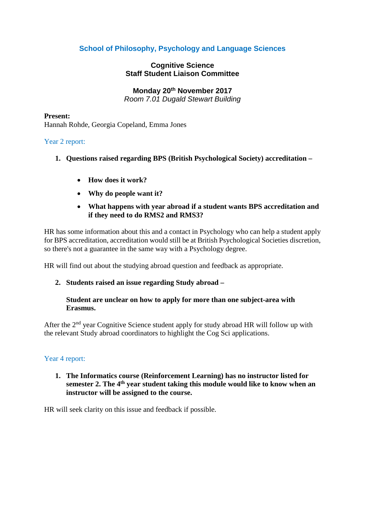# **School of Philosophy, Psychology and Language Sciences**

# **Cognitive Science Staff Student Liaison Committee**

**Monday 20th November 2017**

*Room 7.01 Dugald Stewart Building*

#### **Present:**

Hannah Rohde, Georgia Copeland, Emma Jones

## Year 2 report:

- **1. Questions raised regarding BPS (British Psychological Society) accreditation –**
	- **How does it work?**
	- **Why do people want it?**
	- **What happens with year abroad if a student wants BPS accreditation and if they need to do RMS2 and RMS3?**

HR has some information about this and a contact in Psychology who can help a student apply for BPS accreditation, accreditation would still be at British Psychological Societies discretion, so there's not a guarantee in the same way with a Psychology degree.

HR will find out about the studying abroad question and feedback as appropriate.

# **2. Students raised an issue regarding Study abroad –**

## **Student are unclear on how to apply for more than one subject-area with Erasmus.**

After the  $2<sup>nd</sup>$  year Cognitive Science student apply for study abroad HR will follow up with the relevant Study abroad coordinators to highlight the Cog Sci applications.

#### Year 4 report:

**1. The Informatics course (Reinforcement Learning) has no instructor listed for semester 2. The 4th year student taking this module would like to know when an instructor will be assigned to the course.** 

HR will seek clarity on this issue and feedback if possible.